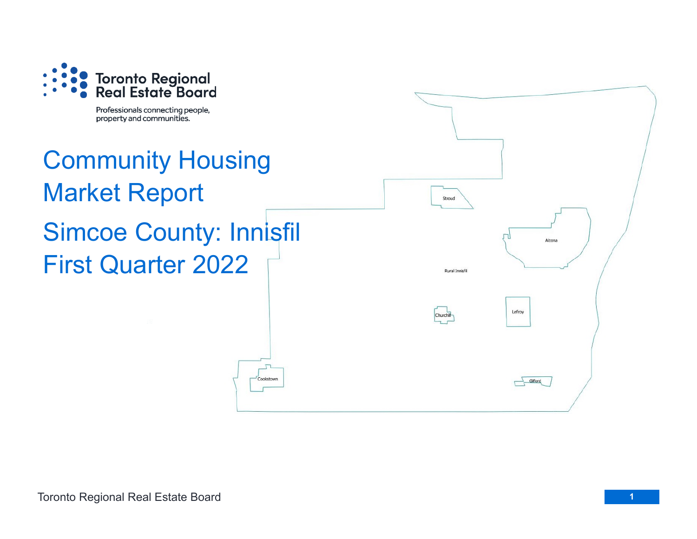

Professionals connecting people, property and communities.

## Community Housing Market Report Simcoe County: Innisfil First Quarter 2022

Cookstow

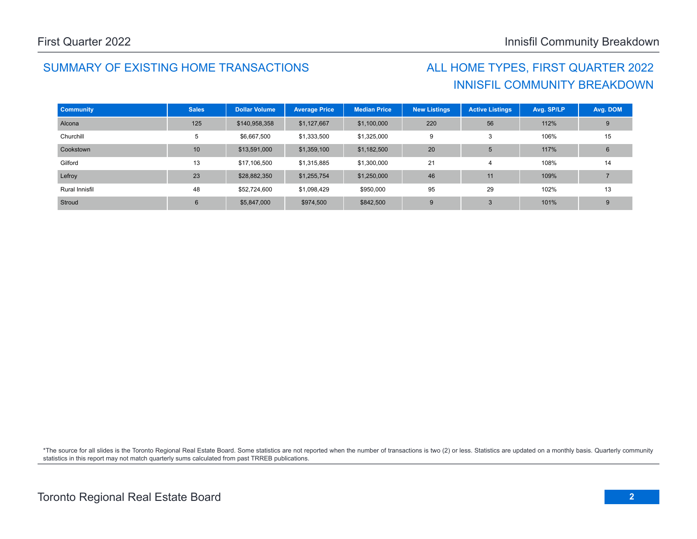## SUMMARY OF EXISTING HOME TRANSACTIONS ALL HOME TYPES, FIRST QUARTER 2022

## INNISFIL COMMUNITY BREAKDOWN

| <b>Community</b> | <b>Sales</b>   | <b>Dollar Volume</b> | <b>Average Price</b> | <b>Median Price</b> | <b>New Listings</b> | <b>Active Listings</b> | Avg. SP/LP | Avg. DOM |
|------------------|----------------|----------------------|----------------------|---------------------|---------------------|------------------------|------------|----------|
| Alcona           | 125            | \$140,958,358        | \$1,127,667          | \$1,100,000         | 220                 | 56                     | 112%       | 9        |
| Churchill        | 5              | \$6,667,500          | \$1,333,500          | \$1,325,000         | 9                   | 3                      | 106%       | 15       |
| Cookstown        | 10             | \$13,591,000         | \$1,359,100          | \$1,182,500         | 20                  | 5                      | 117%       | 6        |
| Gilford          | 13             | \$17,106,500         | \$1,315,885          | \$1,300,000         | 21                  | $\overline{4}$         | 108%       | 14       |
| Lefroy           | 23             | \$28,882,350         | \$1,255,754          | \$1,250,000         | 46                  | 11                     | 109%       |          |
| Rural Innisfil   | 48             | \$52,724,600         | \$1,098,429          | \$950,000           | 95                  | 29                     | 102%       | 13       |
| Stroud           | $6\phantom{1}$ | \$5,847,000          | \$974,500            | \$842,500           | 9                   | 3                      | 101%       | 9        |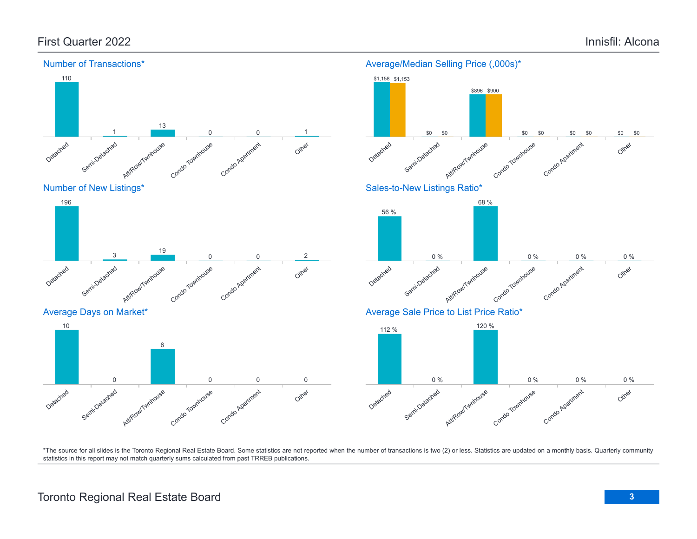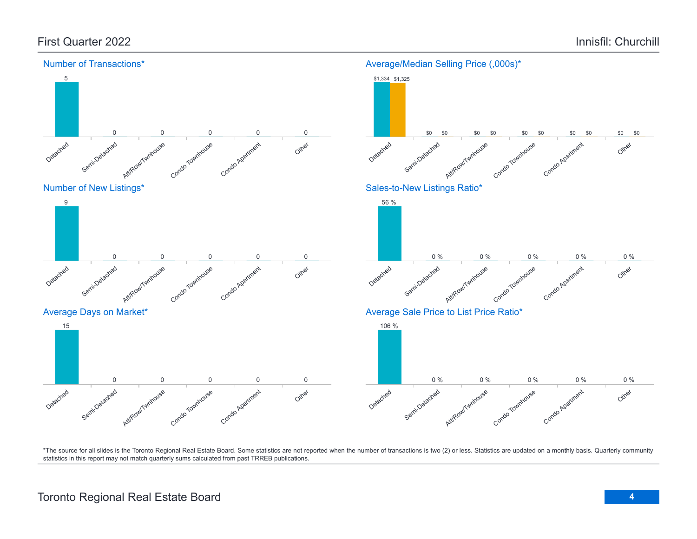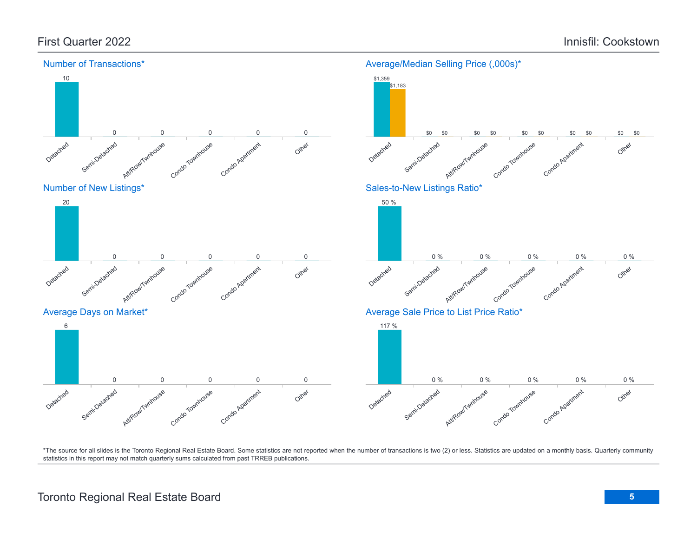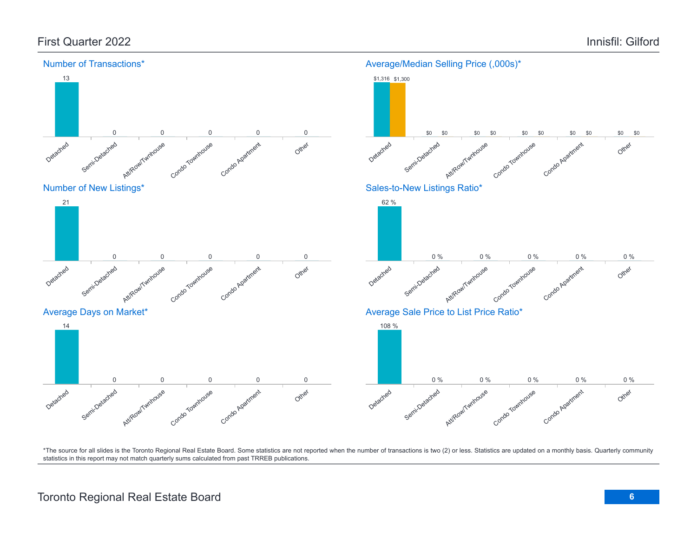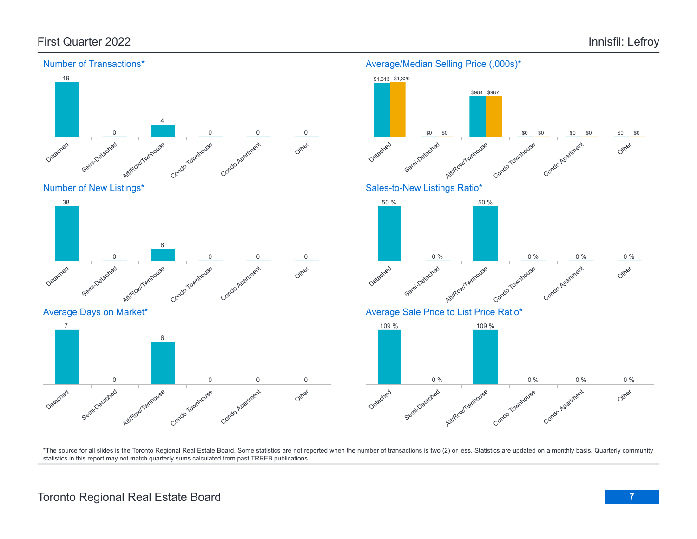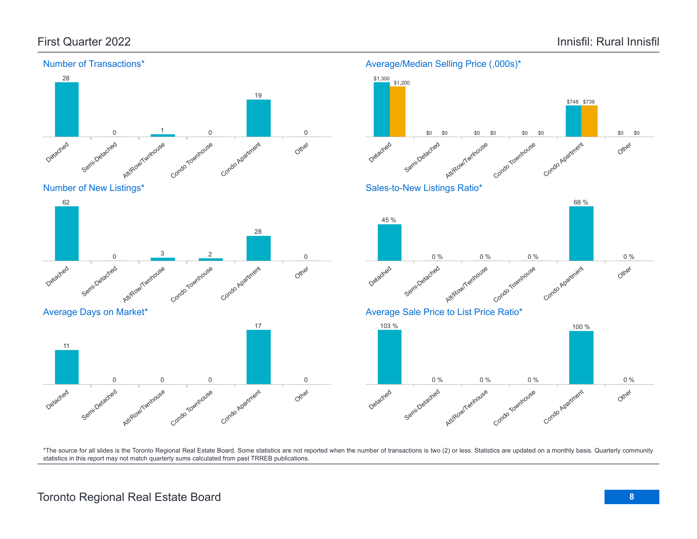